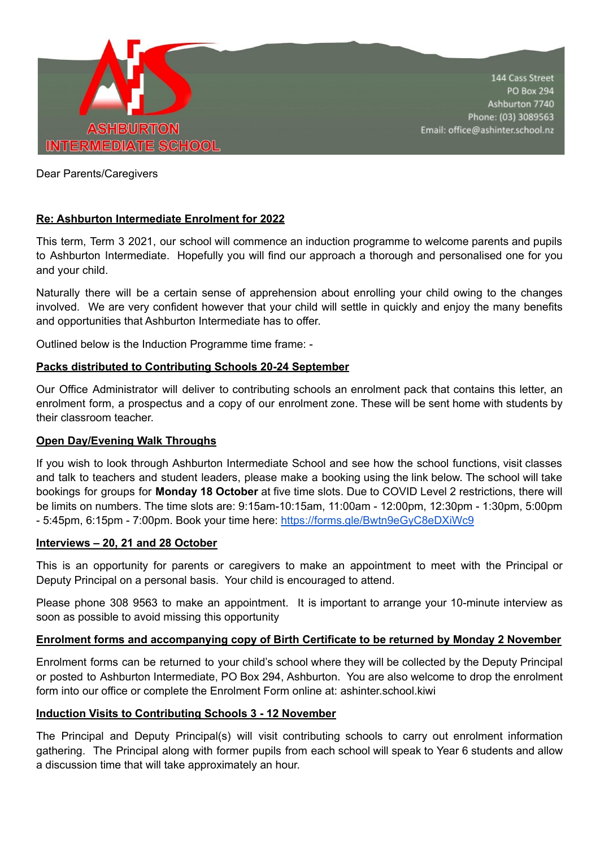

Dear Parents/Caregivers

# **Re: Ashburton Intermediate Enrolment for 2022**

This term, Term 3 2021, our school will commence an induction programme to welcome parents and pupils to Ashburton Intermediate. Hopefully you will find our approach a thorough and personalised one for you and your child.

Naturally there will be a certain sense of apprehension about enrolling your child owing to the changes involved. We are very confident however that your child will settle in quickly and enjoy the many benefits and opportunities that Ashburton Intermediate has to offer.

Outlined below is the Induction Programme time frame: -

### **Packs distributed to Contributing Schools 20-24 September**

Our Office Administrator will deliver to contributing schools an enrolment pack that contains this letter, an enrolment form, a prospectus and a copy of our enrolment zone. These will be sent home with students by their classroom teacher.

### **Open Day/Evening Walk Throughs**

If you wish to look through Ashburton Intermediate School and see how the school functions, visit classes and talk to teachers and student leaders, please make a booking using the link below. The school will take bookings for groups for **Monday 18 October** at five time slots. Due to COVID Level 2 restrictions, there will be limits on numbers. The time slots are: 9:15am-10:15am, 11:00am - 12:00pm, 12:30pm - 1:30pm, 5:00pm - 5:45pm, 6:15pm - 7:00pm. Book your time here: <https://forms.gle/Bwtn9eGyC8eDXiWc9>

#### **Interviews – 20, 21 and 28 October**

This is an opportunity for parents or caregivers to make an appointment to meet with the Principal or Deputy Principal on a personal basis. Your child is encouraged to attend.

Please phone 308 9563 to make an appointment. It is important to arrange your 10-minute interview as soon as possible to avoid missing this opportunity

### **Enrolment forms and accompanying copy of Birth Certificate to be returned by Monday 2 November**

Enrolment forms can be returned to your child's school where they will be collected by the Deputy Principal or posted to Ashburton Intermediate, PO Box 294, Ashburton. You are also welcome to drop the enrolment form into our office or complete the Enrolment Form online at: ashinter.school.kiwi

#### **Induction Visits to Contributing Schools 3 - 12 November**

The Principal and Deputy Principal(s) will visit contributing schools to carry out enrolment information gathering. The Principal along with former pupils from each school will speak to Year 6 students and allow a discussion time that will take approximately an hour.